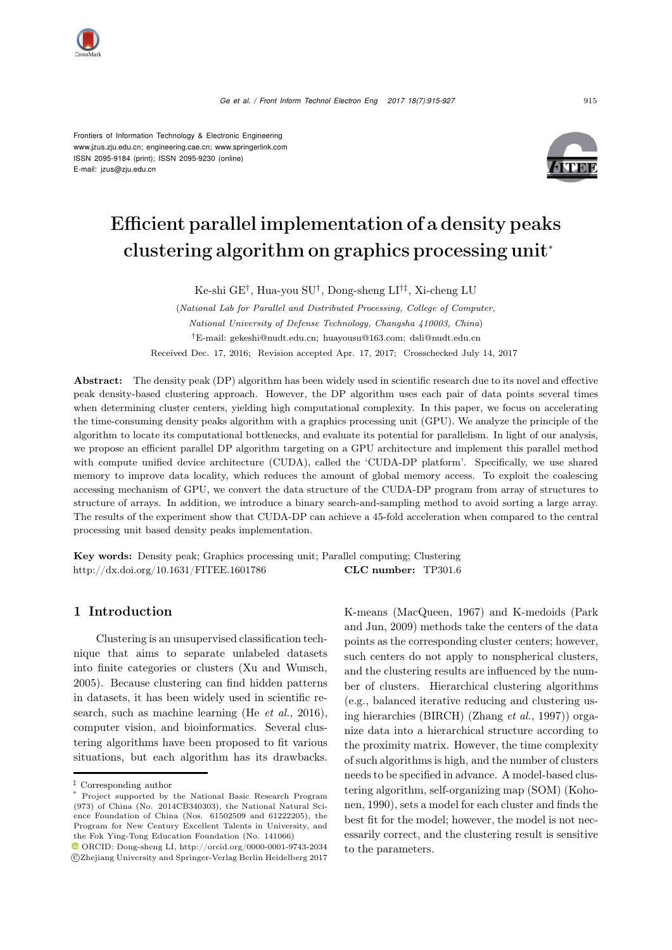*Ge et al. / Front Inform Technol Electron Eng 2017 18(7):915-927* <sup>915</sup>

Frontiers of Information Technology & Electronic Engineering www.jzus.zju.edu.cn; engineering.cae.cn; www.springerlink.com ISSN 2095-9184 (print); ISSN 2095-9230 (online) E-mail: jzus@zju.edu.cn



# Efficient parallel implementation of a density peaks clustering algorithm on graphics processing unit<sup>∗</sup>

Ke-shi GE†, Hua-you SU†, Dong-sheng LI†‡, Xi-cheng LU

(*National Lab for Parallel and Distributed Processing, College of Computer, National University of Defense Technology, Changsha 410003, China*) *†*E-mail: gekeshi@nudt.edu.cn; huayousu@163.com; dsli@nudt.edu.cn Received Dec. 17, 2016; Revision accepted Apr. 17, 2017; Crosschecked July 14, 2017

Abstract: The density peak (DP) algorithm has been widely used in scientific research due to its novel and effective peak density-based clustering approach. However, the DP algorithm uses each pair of data points several times when determining cluster centers, yielding high computational complexity. In this paper, we focus on accelerating the time-consuming density peaks algorithm with a graphics processing unit (GPU). We analyze the principle of the algorithm to locate its computational bottlenecks, and evaluate its potential for parallelism. In light of our analysis, we propose an efficient parallel DP algorithm targeting on a GPU architecture and implement this parallel method with compute unified device architecture (CUDA), called the 'CUDA-DP platform'. Specifically, we use shared memory to improve data locality, which reduces the amount of global memory access. To exploit the coalescing accessing mechanism of GPU, we convert the data structure of the CUDA-DP program from array of structures to structure of arrays. In addition, we introduce a binary search-and-sampling method to avoid sorting a large array. The results of the experiment show that CUDA-DP can achieve a 45-fold acceleration when compared to the central processing unit based density peaks implementation.

Key words: Density peak; Graphics processing unit; Parallel computing; Clustering http://dx.doi.org/10.1631/FITEE.1601786 **CLC number:** TP301.6

# 1 Introduction

Clustering is an unsupervised classification technique that aims to separate unlabeled datasets into finite categories or clusters [\(Xu and Wunsch](#page-12-0), [2005](#page-12-0)). Because clustering can find hidden patterns in datasets, it has been widely used in scientific research, such as machine learning (He *[et al.](#page-12-1)*, [2016\)](#page-12-1), computer vision, and bioinformatics. Several clustering algorithms have been proposed to fit various situations, but each algorithm has its drawbacks.

K-mean[s](#page-12-3) [\(MacQueen](#page-12-2)[,](#page-12-3) [1967\)](#page-12-2) [and](#page-12-3) [K-medoids](#page-12-3) [\(](#page-12-3)Park and Jun, [2009\)](#page-12-3) methods take the centers of the data points as the corresponding cluster centers; however, such centers do not apply to nonspherical clusters, and the clustering results are influenced by the number of clusters. Hierarchical clustering algorithms (e.g., balanced iterative reducing and clustering using hierarchies (BIRCH) [\(Zhang](#page-12-4) *et al.*, [1997](#page-12-4))) organize data into a hierarchical structure according to the proximity matrix. However, the time complexity of such algorithms is high, and the number of clusters needs to be specified in advance. A model-based clustering algorithm, self-organizing map (SOM) (Kohonen, [1990\)](#page-12-5), sets a model for each cluster and finds the best fit for the model; however, the model is not necessarily correct, and the clustering result is sensitive to the parameters.

*<sup>‡</sup>* Corresponding author

<sup>\*</sup> Project supported by the National Basic Research Program (973) of China (No. 2014CB340303), the National Natural Science Foundation of China (Nos. 61502509 and 61222205), the Program for New Century Excellent Talents in University, and the Fok Ying-Tong Education Foundation (No. 141066)

ORCID: Dong-sheng LI, http://orcid.org/0000-0001-9743-2034 c Zhejiang University and Springer-Verlag Berlin Heidelberg 2017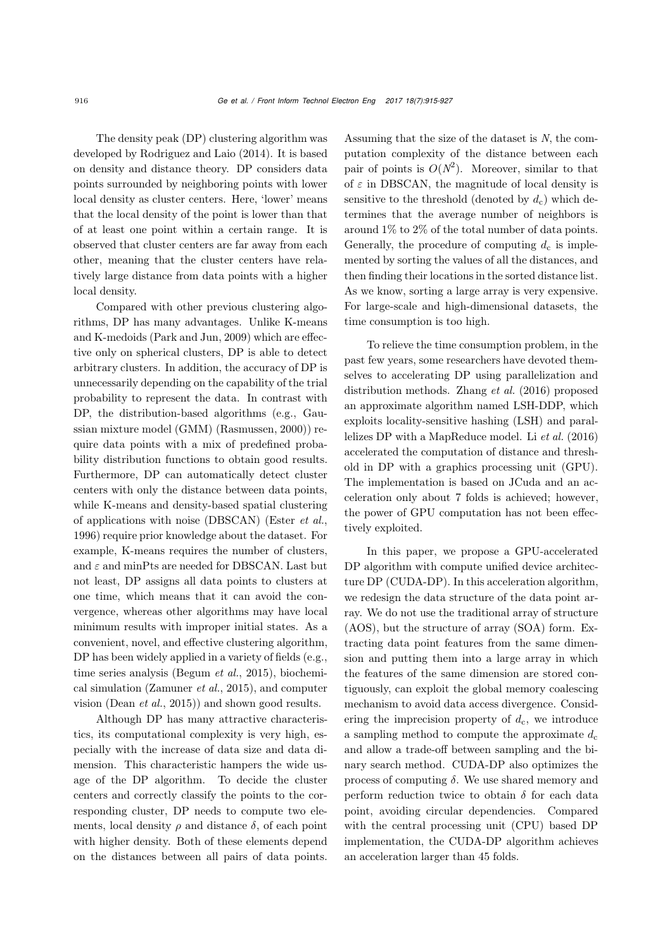The density peak (DP) clustering algorithm was developed by [Rodriguez and Laio](#page-12-6) [\(2014\)](#page-12-6). It is based on density and distance theory. DP considers data points surrounded by neighboring points with lower local density as cluster centers. Here, 'lower' means that the local density of the point is lower than that of at least one point within a certain range. It is observed that cluster centers are far away from each other, meaning that the cluster centers have relatively large distance from data points with a higher local density.

Compared with other previous clustering algorithms, DP has many advantages. Unlike K-means and K-medoids [\(Park and Jun, 2009\)](#page-12-3) which are effective only on spherical clusters, DP is able to detect arbitrary clusters. In addition, the accuracy of DP is unnecessarily depending on the capability of the trial probability to represent the data. In contrast with DP, the distribution-based algorithms (e.g., Gaussian mixture model (GMM) [\(Rasmussen, 2000](#page-12-7))) require data points with a mix of predefined probability distribution functions to obtain good results. Furthermore, DP can automatically detect cluster centers with only the distance between data points, while K-means and density-based spatial clustering of applications with noise (DBSCAN) [\(Ester](#page-11-0) *et al.*, [1996](#page-11-0)) require prior knowledge about the dataset. For example, K-means requires the number of clusters, and  $\varepsilon$  and minPts are needed for DBSCAN. Last but not least, DP assigns all data points to clusters at one time, which means that it can avoid the convergence, whereas other algorithms may have local minimum results with improper initial states. As a convenient, novel, and effective clustering algorithm, DP has been widely applied in a variety of fields (e.g., time series analysis [\(Begum](#page-11-1) *et al.*, [2015](#page-11-1)), biochemical simulation [\(Zamuner](#page-12-8) *et al.*, [2015\)](#page-12-8), and computer vision [\(Dean](#page-11-2) *et al.*, [2015](#page-11-2))) and shown good results.

Although DP has many attractive characteristics, its computational complexity is very high, especially with the increase of data size and data dimension. This characteristic hampers the wide usage of the DP algorithm. To decide the cluster centers and correctly classify the points to the corresponding cluster, DP needs to compute two elements, local density  $\rho$  and distance  $\delta$ , of each point with higher density. Both of these elements depend on the distances between all pairs of data points. Assuming that the size of the dataset is *N*, the computation complexity of the distance between each pair of points is  $O(N^2)$ . Moreover, similar to that of  $\varepsilon$  in DBSCAN, the magnitude of local density is sensitive to the threshold (denoted by  $d_c$ ) which determines that the average number of neighbors is around 1% to 2% of the total number of data points. Generally, the procedure of computing  $d_c$  is implemented by sorting the values of all the distances, and then finding their locations in the sorted distance list. As we know, sorting a large array is very expensive. For large-scale and high-dimensional datasets, the time consumption is too high.

To relieve the time consumption problem, in the past few years, some researchers have devoted themselves to accelerating DP using parallelization and distribution methods. [Zhang](#page-12-9) *et al.* [\(2016\)](#page-12-9) proposed an approximate algorithm named LSH-DDP, which exploits locality-sensitive hashing (LSH) and parallelizes DP with a MapReduce model. Li *[et al.](#page-12-10)* [\(2016](#page-12-10)) accelerated the computation of distance and threshold in DP with a graphics processing unit (GPU). The implementation is based on JCuda and an acceleration only about 7 folds is achieved; however, the power of GPU computation has not been effectively exploited.

In this paper, we propose a GPU-accelerated DP algorithm with compute unified device architecture DP (CUDA-DP). In this acceleration algorithm, we redesign the data structure of the data point array. We do not use the traditional array of structure (AOS), but the structure of array (SOA) form. Extracting data point features from the same dimension and putting them into a large array in which the features of the same dimension are stored contiguously, can exploit the global memory coalescing mechanism to avoid data access divergence. Considering the imprecision property of  $d_c$ , we introduce a sampling method to compute the approximate  $d_c$ and allow a trade-off between sampling and the binary search method. CUDA-DP also optimizes the process of computing  $\delta$ . We use shared memory and perform reduction twice to obtain  $\delta$  for each data point, avoiding circular dependencies. Compared with the central processing unit (CPU) based DP implementation, the CUDA-DP algorithm achieves an acceleration larger than 45 folds.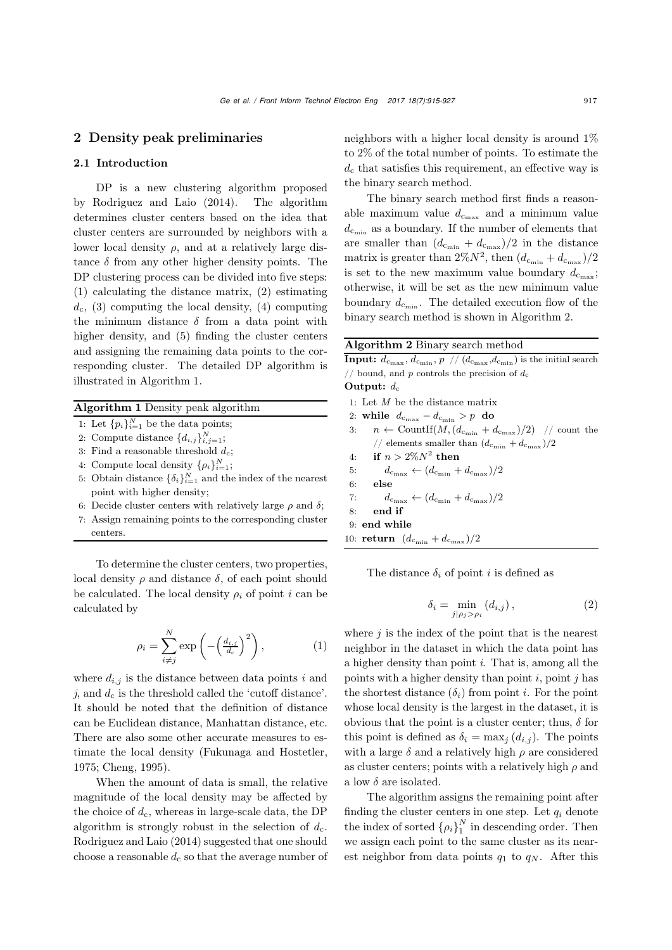## 2 Density peak preliminaries

#### 2.1 Introduction

DP is a new clustering algorithm proposed by [Rodriguez and Laio](#page-12-6) [\(2014](#page-12-6)). The algorithm determines cluster centers based on the idea that cluster centers are surrounded by neighbors with a lower local density  $\rho$ , and at a relatively large distance  $\delta$  from any other higher density points. The DP clustering process can be divided into five steps: (1) calculating the distance matrix, (2) estimating  $d_c$ , (3) computing the local density, (4) computing the minimum distance  $\delta$  from a data point with higher density, and (5) finding the cluster centers and assigning the remaining data points to the corresponding cluster. The detailed DP algorithm is illustrated in Algorithm [1.](#page-2-0)

### Algorithm 1 Density peak algorithm

- 1: Let  ${p_i}_{i=1}^N$  be the data points;
- 2: Compute distance  $\{d_{i,j}\}_{i,j=1}^N$ ;
- 3: Find a reasonable threshold  $d_c$ ;
- 4: Compute local density  $\{\rho_i\}_{i=1}^N$ ;
- 5: Obtain distance  $\{\delta_i\}_{i=1}^N$  and the index of the nearest point with higher density;
- 6: Decide cluster centers with relatively large  $\rho$  and  $\delta$ ;
- 7: Assign remaining points to the corresponding cluster centers.

To determine the cluster centers, two properties, local density  $\rho$  and distance  $\delta$ , of each point should be calculated. The local density  $\rho_i$  of point *i* can be calculated by

<span id="page-2-2"></span>
$$
\rho_i = \sum_{i \neq j}^{N} \exp\left(-\left(\frac{d_{i,j}}{d_c}\right)^2\right),\tag{1}
$$

where  $d_{i,j}$  is the distance between data points *i* and  $j$ , and  $d_c$  is the threshold called the 'cutoff distance'. It should be noted that the definition of distance can be Euclidean distance, Manhattan distance, etc. There are also some other accurate measures to estimate the local density [\(Fukunaga and Hostetler,](#page-11-3) [1975](#page-11-3); [Cheng, 1995](#page-11-4)).

When the amount of data is small, the relative magnitude of the local density may be affected by the choice of  $d_c$ , whereas in large-scale data, the DP algorithm is strongly robust in the selection of  $d_c$ . [Rodriguez and Laio](#page-12-6) [\(2014\)](#page-12-6) suggested that one should choose a reasonable  $d_c$  so that the average number of neighbors with a higher local density is around 1% to 2% of the total number of points. To estimate the  $d_c$  that satisfies this requirement, an effective way is the binary search method.

The binary search method first finds a reasonable maximum value  $d_{c_{\text{max}}}$  and a minimum value  $d_{\text{c}_{\min}}$  as a boundary. If the number of elements that are smaller than  $(d_{\text{c}_{\min}} + d_{\text{c}_{\max}})/2$  in the distance matrix is greater than  $2\%N^2$ , then  $(d_{c_{\min}} + d_{c_{\max}})/2$ is set to the new maximum value boundary  $d_{c_{\text{max}}}$ ; otherwise, it will be set as the new minimum value boundary  $d_{c_{\min}}$ . The detailed execution flow of the binary search method is shown in Algorithm [2.](#page-2-1)

#### Algorithm 2 Binary search method

**Input:**  $d_{c_{\text{max}}}$ ,  $d_{c_{\text{min}}}$ ,  $p$  //  $(d_{c_{\text{max}}}$ ,  $d_{c_{\text{min}}}$ ) is the initial search  $\frac{1}{2}$  bound, and *p* controls the precision of  $d_c$ Output:  $d_c$ 1: Let *M* be the distance matrix 2: while  $d_{c_{\text{max}}} - d_{c_{\text{min}}} > p$  do 3:  $n \leftarrow \text{CountIf}(M, (d_{c_{\min}} + d_{c_{\max}})/2)$  // count the  $\frac{d}{d\epsilon_{\rm min}} + d_{\rm cmax}$  )/2 4: if  $n > 2\%N^2$  then<br>5:  $d_{c_{\text{max}}} \leftarrow (d_{c_{\text{min}}} +$ 5:  $d_{c_{\text{max}}} \leftarrow (d_{c_{\text{min}}} + d_{c_{\text{max}}})/2$ <br>6: **else** else 7:  $d_{c_{\text{max}}} \leftarrow (d_{c_{\text{min}}} + d_{c_{\text{max}}})/2$ <br>8: **end if** end if 9: end while 10: return  $(d_{c_{\min}} + d_{c_{\max}})/2$ 

<span id="page-2-1"></span><span id="page-2-0"></span>The distance  $\delta_i$  of point *i* is defined as

$$
\delta_i = \min_{j|\rho_j > \rho_i} (d_{i,j}), \qquad (2)
$$

where  $j$  is the index of the point that is the nearest neighbor in the dataset in which the data point has a higher density than point *i*. That is, among all the points with a higher density than point  $i$ , point  $j$  has the shortest distance  $(\delta_i)$  from point i. For the point whose local density is the largest in the dataset, it is obvious that the point is a cluster center; thus,  $\delta$  for this point is defined as  $\delta_i = \max_j (d_{i,j})$ . The points with a large  $\delta$  and a relatively high  $\rho$  are considered as cluster centers; points with a relatively high  $\rho$  and a low  $\delta$  are isolated.

The algorithm assigns the remaining point after finding the cluster centers in one step. Let  $q_i$  denote the index of sorted  $\{\rho_i\}_1^N$  in descending order. Then we assign each point to the same cluster as its nearest neighbor from data points  $q_1$  to  $q_N$ . After this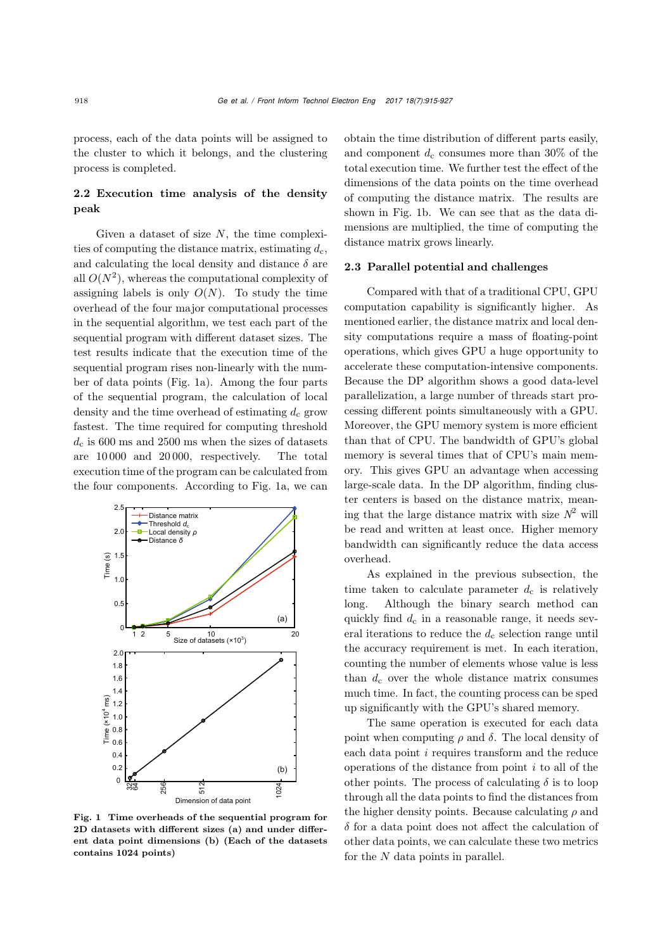process, each of the data points will be assigned to the cluster to which it belongs, and the clustering process is completed.

# 2.2 Execution time analysis of the density peak

Given a dataset of size  $N$ , the time complexities of computing the distance matrix, estimating  $d_c$ , and calculating the local density and distance  $\delta$  are all  $O(N^2)$ , whereas the computational complexity of assigning labels is only  $O(N)$ . To study the time overhead of the four major computational processes in the sequential algorithm, we test each part of the sequential program with different dataset sizes. The test results indicate that the execution time of the sequential program rises non-linearly with the number of data points (Fig. [1a](#page-3-0)). Among the four parts of the sequential program, the calculation of local density and the time overhead of estimating  $d_c$  grow fastest. The time required for computing threshold  $d_c$  is 600 ms and 2500 ms when the sizes of datasets are 10 000 and 20 000, respectively. The total execution time of the program can be calculated from the four components. According to Fig. [1a](#page-3-0), we can



<span id="page-3-0"></span>Fig. 1 Time overheads of the sequential program for 2D datasets with different sizes (a) and under different data point dimensions (b) (Each of the datasets contains 1024 points)

obtain the time distribution of different parts easily, and component  $d_c$  consumes more than 30% of the total execution time. We further test the effect of the dimensions of the data points on the time overhead of computing the distance matrix. The results are shown in Fig. [1b](#page-3-0). We can see that as the data dimensions are multiplied, the time of computing the distance matrix grows linearly.

#### 2.3 Parallel potential and challenges

Compared with that of a traditional CPU, GPU computation capability is significantly higher. As mentioned earlier, the distance matrix and local density computations require a mass of floating-point operations, which gives GPU a huge opportunity to accelerate these computation-intensive components. Because the DP algorithm shows a good data-level parallelization, a large number of threads start processing different points simultaneously with a GPU. Moreover, the GPU memory system is more efficient than that of CPU. The bandwidth of GPU's global memory is several times that of CPU's main memory. This gives GPU an advantage when accessing large-scale data. In the DP algorithm, finding cluster centers is based on the distance matrix, meaning that the large distance matrix with size  $N^2$  will be read and written at least once. Higher memory bandwidth can significantly reduce the data access overhead.

As explained in the previous subsection, the time taken to calculate parameter  $d_c$  is relatively long. Although the binary search method can quickly find  $d_c$  in a reasonable range, it needs several iterations to reduce the  $d_c$  selection range until the accuracy requirement is met. In each iteration, counting the number of elements whose value is less than  $d_c$  over the whole distance matrix consumes much time. In fact, the counting process can be sped up significantly with the GPU's shared memory.

The same operation is executed for each data point when computing  $\rho$  and  $\delta$ . The local density of each data point *i* requires transform and the reduce operations of the distance from point *i* to all of the other points. The process of calculating  $\delta$  is to loop through all the data points to find the distances from the higher density points. Because calculating  $\rho$  and  $\delta$  for a data point does not affect the calculation of other data points, we can calculate these two metrics for the  $N$  data points in parallel.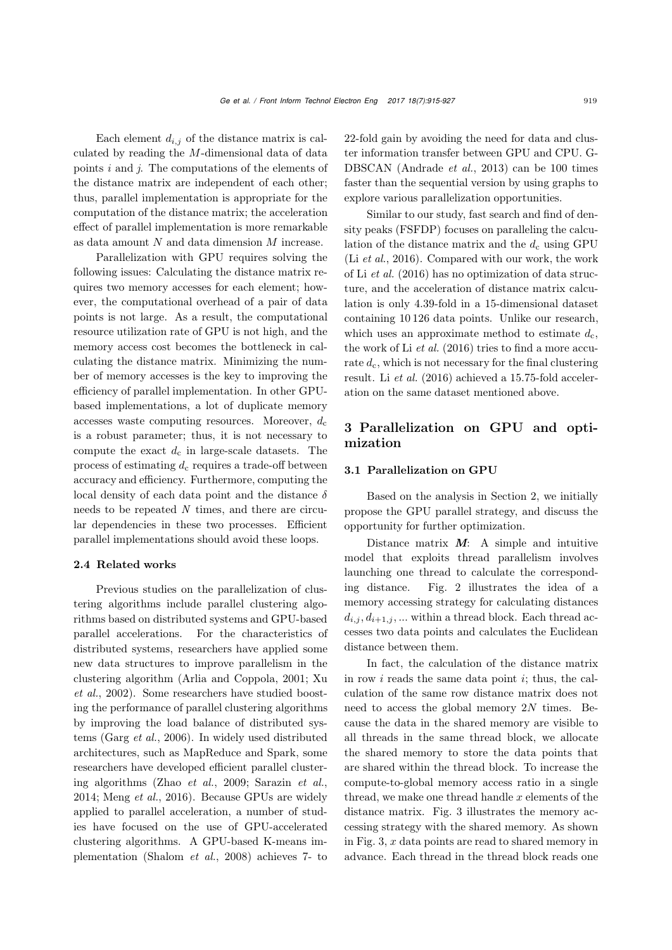Each element  $d_{i,j}$  of the distance matrix is calculated by reading the M-dimensional data of data points *i* and *j*. The computations of the elements of the distance matrix are independent of each other; thus, parallel implementation is appropriate for the computation of the distance matrix; the acceleration effect of parallel implementation is more remarkable as data amount N and data dimension M increase.

Parallelization with GPU requires solving the following issues: Calculating the distance matrix requires two memory accesses for each element; however, the computational overhead of a pair of data points is not large. As a result, the computational resource utilization rate of GPU is not high, and the memory access cost becomes the bottleneck in calculating the distance matrix. Minimizing the number of memory accesses is the key to improving the efficiency of parallel implementation. In other GPUbased implementations, a lot of duplicate memory accesses waste computing resources. Moreover,  $d_c$ is a robust parameter; thus, it is not necessary to compute the exact  $d_c$  in large-scale datasets. The process of estimating  $d_c$  requires a trade-off between accuracy and efficiency. Furthermore, computing the local density of each data point and the distance  $\delta$ needs to be repeated *N* times, and there are circular dependencies in these two processes. Efficient parallel implementations should avoid these loops.

#### 2.4 Related works

Previous studies on the parallelization of clustering algorithms include parallel clustering algorithms based on distributed systems and GPU-based parallel accelerations. For the characteristics of distributed systems, researchers have applied some new data structures to improve parallelism in the clust[ering](#page-12-11) [algorithm](#page-12-11) [\(Arlia and Coppola](#page-11-5)[,](#page-12-11) [2001;](#page-11-5) Xu *et al.*, [2002\)](#page-12-11). Some researchers have studied boosting the performance of parallel clustering algorithms by improving the load balance of distributed systems [\(Garg](#page-12-12) *et al.*, [2006](#page-12-12)). In widely used distributed architectures, such as MapReduce and Spark, some researchers have developed efficient parallel clustering algorithms (Zhao *[et al.](#page-12-13)*, [2009](#page-12-13); [Sarazin](#page-12-14) *et al.*, [2014](#page-12-14); [Meng](#page-12-15) *et al.*, [2016\)](#page-12-15). Because GPUs are widely applied to parallel acceleration, a number of studies have focused on the use of GPU-accelerated clustering algorithms. A GPU-based K-means implementation [\(Shalom](#page-12-16) *et al.*, [2008](#page-12-16)) achieves 7- to

22-fold gain by avoiding the need for data and cluster information transfer between GPU and CPU. G-DBSCAN [\(Andrade](#page-11-6) *et al.*, [2013\)](#page-11-6) can be 100 times faster than the sequential version by using graphs to explore various parallelization opportunities.

Similar to our study, fast search and find of density peaks (FSFDP) focuses on paralleling the calculation of the distance matrix and the  $d_c$  using GPU (Li *[et al.](#page-12-10)*, [2016](#page-12-10)). Compared with our work, the work of Li *[et al.](#page-12-10)* [\(2016\)](#page-12-10) has no optimization of data structure, and the acceleration of distance matrix calculation is only 4.39-fold in a 15-dimensional dataset containing 10 126 data points. Unlike our research, which uses an approximate method to estimate  $d_c$ , the work of Li *[et al.](#page-12-10)* [\(2016](#page-12-10)) tries to find a more accurate  $d_c$ , which is not necessary for the final clustering result. Li *[et al.](#page-12-10)* [\(2016](#page-12-10)) achieved a 15.75-fold acceleration on the same dataset mentioned above.

# 3 Parallelization on GPU and optimization

#### 3.1 Parallelization on GPU

Based on the analysis in Section 2, we initially propose the GPU parallel strategy, and discuss the opportunity for further optimization.

Distance matrix *M*: A simple and intuitive model that exploits thread parallelism involves launching one thread to calculate the corresponding distance. Fig. [2](#page-5-0) illustrates the idea of a memory accessing strategy for calculating distances  $d_{i,j}, d_{i+1,j}, \ldots$  within a thread block. Each thread accesses two data points and calculates the Euclidean distance between them.

In fact, the calculation of the distance matrix in row  $i$  reads the same data point  $i$ ; thus, the calculation of the same row distance matrix does not need to access the global memory  $2N$  times. Because the data in the shared memory are visible to all threads in the same thread block, we allocate the shared memory to store the data points that are shared within the thread block. To increase the compute-to-global memory access ratio in a single thread, we make one thread handle  $x$  elements of the distance matrix. Fig. [3](#page-5-1) illustrates the memory accessing strategy with the shared memory. As shown in Fig. [3,](#page-5-1)  $x$  data points are read to shared memory in advance. Each thread in the thread block reads one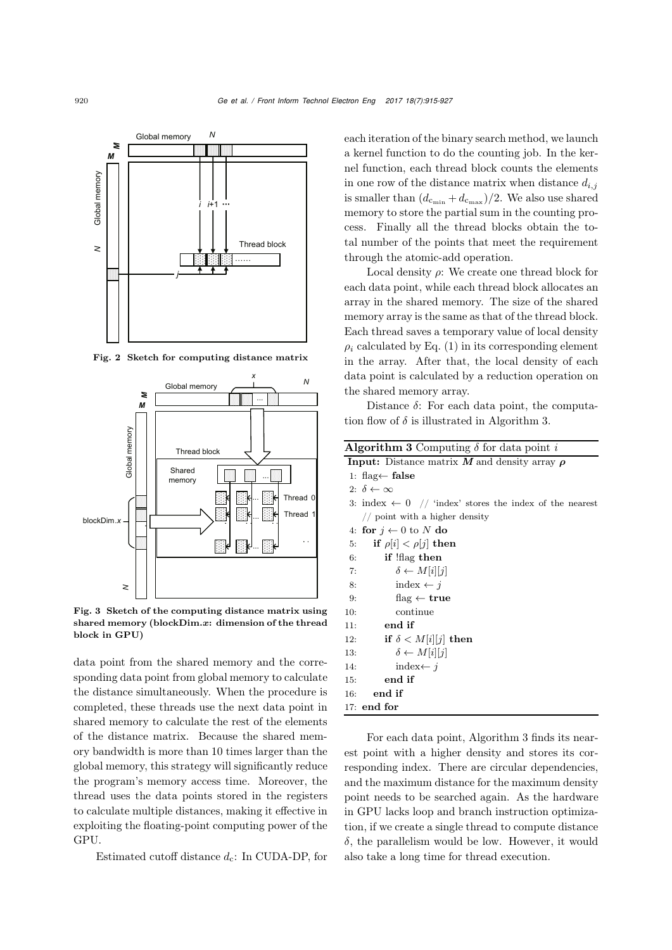

<span id="page-5-0"></span>Fig. 2 Sketch for computing distance matrix



<span id="page-5-1"></span>Fig. 3 Sketch of the computing distance matrix using shared memory (blockDim.*x*: dimension of the thread block in GPU)

data point from the shared memory and the corresponding data point from global memory to calculate the distance simultaneously. When the procedure is completed, these threads use the next data point in shared memory to calculate the rest of the elements of the distance matrix. Because the shared memory bandwidth is more than 10 times larger than the global memory, this strategy will significantly reduce the program's memory access time. Moreover, the thread uses the data points stored in the registers to calculate multiple distances, making it effective in exploiting the floating-point computing power of the GPU.

Estimated cutoff distance  $d_c$ : In CUDA-DP, for

each iteration of the binary search method, we launch a kernel function to do the counting job. In the kernel function, each thread block counts the elements in one row of the distance matrix when distance  $d_{i,j}$ is smaller than  $(d_{c_{\min}} + d_{c_{\max}})/2$ . We also use shared memory to store the partial sum in the counting process. Finally all the thread blocks obtain the total number of the points that meet the requirement through the atomic-add operation.

Local density  $\rho$ : We create one thread block for each data point, while each thread block allocates an array in the shared memory. The size of the shared memory array is the same as that of the thread block. Each thread saves a temporary value of local density  $\rho_i$  calculated by Eq. [\(1\)](#page-2-2) in its corresponding element in the array. After that, the local density of each data point is calculated by a reduction operation on the shared memory array.

Distance  $\delta$ : For each data point, the computation flow of  $\delta$  is illustrated in Algorithm [3.](#page-5-2)

| <b>Algorithm 3</b> Computing $\delta$ for data point i             |  |  |  |  |
|--------------------------------------------------------------------|--|--|--|--|
| <b>Input:</b> Distance matrix $M$ and density array $\rho$         |  |  |  |  |
| 1: flag← false                                                     |  |  |  |  |
| 2: $\delta \leftarrow \infty$                                      |  |  |  |  |
| 3: index $\leftarrow 0$ // 'index' stores the index of the nearest |  |  |  |  |
| $//$ point with a higher density                                   |  |  |  |  |
| 4: for $j \leftarrow 0$ to N do                                    |  |  |  |  |
| if $\rho[i] < \rho[i]$ then<br>5:                                  |  |  |  |  |
| if !flag then<br>6:                                                |  |  |  |  |
| $\delta \leftarrow M[i][j]$<br>7:                                  |  |  |  |  |
| index $\leftarrow i$<br>8:                                         |  |  |  |  |
| $flag \leftarrow true$<br>9:                                       |  |  |  |  |
| continue<br>10:                                                    |  |  |  |  |
| $11:$ end if                                                       |  |  |  |  |
| if $\delta < M[i][j]$ then<br>12:                                  |  |  |  |  |
| $\delta \leftarrow M[i][j]$<br>13:                                 |  |  |  |  |
| index $\leftarrow i$<br>14:                                        |  |  |  |  |
| end if<br>15:                                                      |  |  |  |  |
| end if<br>16:                                                      |  |  |  |  |
| $17:$ end for                                                      |  |  |  |  |
|                                                                    |  |  |  |  |

<span id="page-5-2"></span>For each data point, Algorithm 3 finds its nearest point with a higher density and stores its corresponding index. There are circular dependencies, and the maximum distance for the maximum density point needs to be searched again. As the hardware in GPU lacks loop and branch instruction optimization, if we create a single thread to compute distance  $\delta$ , the parallelism would be low. However, it would also take a long time for thread execution.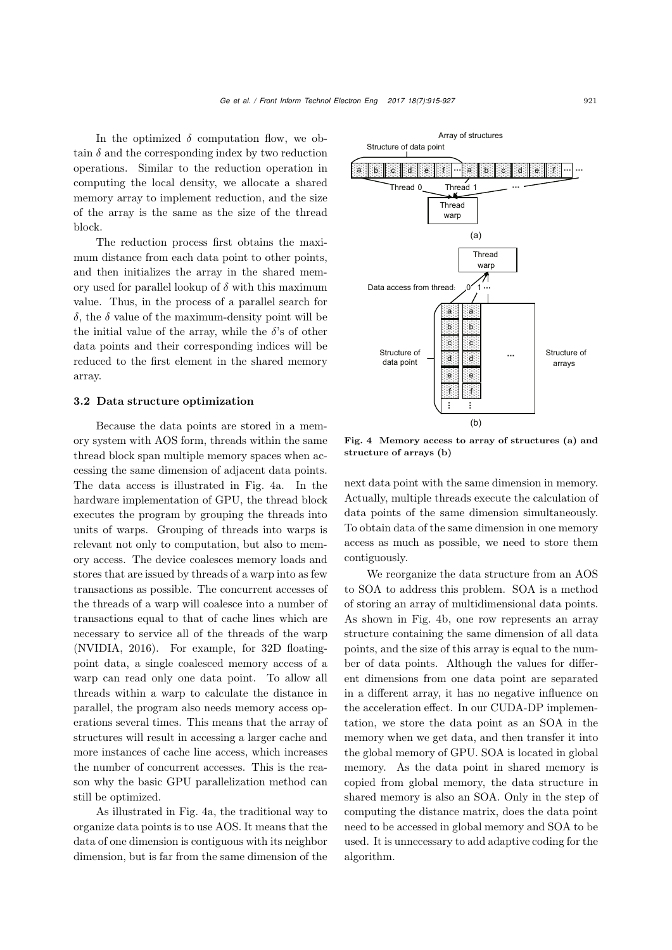In the optimized  $\delta$  computation flow, we obtain  $\delta$  and the corresponding index by two reduction operations. Similar to the reduction operation in computing the local density, we allocate a shared memory array to implement reduction, and the size of the array is the same as the size of the thread block.

The reduction process first obtains the maximum distance from each data point to other points, and then initializes the array in the shared memory used for parallel lookup of  $\delta$  with this maximum value. Thus, in the process of a parallel search for δ, the δ value of the maximum-density point will be the initial value of the array, while the  $\delta$ 's of other data points and their corresponding indices will be reduced to the first element in the shared memory array.

#### 3.2 Data structure optimization

Because the data points are stored in a memory system with AOS form, threads within the same thread block span multiple memory spaces when accessing the same dimension of adjacent data points. The data access is illustrated in Fig. [4a](#page-6-0). In the hardware implementation of GPU, the thread block executes the program by grouping the threads into units of warps. Grouping of threads into warps is relevant not only to computation, but also to memory access. The device coalesces memory loads and stores that are issued by threads of a warp into as few transactions as possible. The concurrent accesses of the threads of a warp will coalesce into a number of transactions equal to that of cache lines which are necessary to service all of the threads of the warp [\(NVIDIA](#page-12-17), [2016](#page-12-17)). For example, for 32D floatingpoint data, a single coalesced memory access of a warp can read only one data point. To allow all threads within a warp to calculate the distance in parallel, the program also needs memory access operations several times. This means that the array of structures will result in accessing a larger cache and more instances of cache line access, which increases the number of concurrent accesses. This is the reason why the basic GPU parallelization method can still be optimized.

As illustrated in Fig. [4a](#page-6-0), the traditional way to organize data points is to use AOS. It means that the data of one dimension is contiguous with its neighbor dimension, but is far from the same dimension of the

Array of structures Structure of data point a b c d e fa b c d e f c d e f c d e f c d e f c d e f c d e f c d e f c d e f c d e Thread 0 Thread 1  $1 \sim$ Thread warp (a) **Thread** warp ↗↑ Data access from thread: Ċ a a b b c c Structure of Structure of d d Ċ data point arrays e e f f Ċ Ċ (b)

<span id="page-6-0"></span>Fig. 4 Memory access to array of structures (a) and structure of arrays (b)

next data point with the same dimension in memory. Actually, multiple threads execute the calculation of data points of the same dimension simultaneously. To obtain data of the same dimension in one memory access as much as possible, we need to store them contiguously.

We reorganize the data structure from an AOS to SOA to address this problem. SOA is a method of storing an array of multidimensional data points. As shown in Fig. [4b](#page-6-0), one row represents an array structure containing the same dimension of all data points, and the size of this array is equal to the number of data points. Although the values for different dimensions from one data point are separated in a different array, it has no negative influence on the acceleration effect. In our CUDA-DP implementation, we store the data point as an SOA in the memory when we get data, and then transfer it into the global memory of GPU. SOA is located in global memory. As the data point in shared memory is copied from global memory, the data structure in shared memory is also an SOA. Only in the step of computing the distance matrix, does the data point need to be accessed in global memory and SOA to be used. It is unnecessary to add adaptive coding for the algorithm.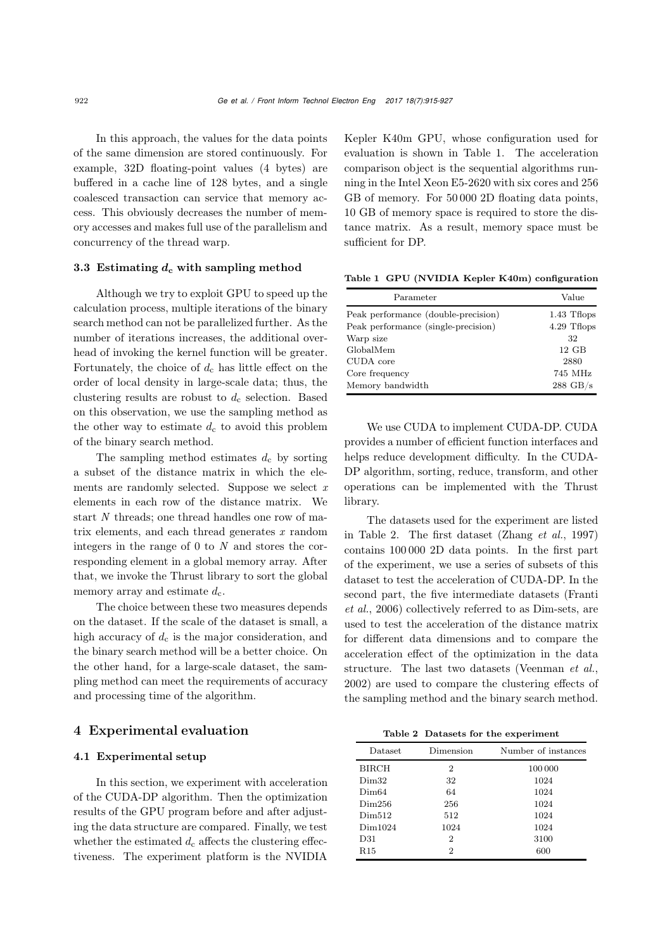In this approach, the values for the data points of the same dimension are stored continuously. For example, 32D floating-point values (4 bytes) are buffered in a cache line of 128 bytes, and a single coalesced transaction can service that memory access. This obviously decreases the number of memory accesses and makes full use of the parallelism and concurrency of the thread warp.

#### 3.3 Estimating  $d_c$  with sampling method

Although we try to exploit GPU to speed up the calculation process, multiple iterations of the binary search method can not be parallelized further. As the number of iterations increases, the additional overhead of invoking the kernel function will be greater. Fortunately, the choice of  $d_c$  has little effect on the order of local density in large-scale data; thus, the clustering results are robust to  $d_c$  selection. Based on this observation, we use the sampling method as the other way to estimate  $d_c$  to avoid this problem of the binary search method.

The sampling method estimates  $d_c$  by sorting a subset of the distance matrix in which the elements are randomly selected. Suppose we select *x* elements in each row of the distance matrix. We start *N* threads; one thread handles one row of matrix elements, and each thread generates *x* random integers in the range of 0 to *N* and stores the corresponding element in a global memory array. After that, we invoke the Thrust library to sort the global memory array and estimate  $d_c$ .

The choice between these two measures depends on the dataset. If the scale of the dataset is small, a high accuracy of  $d_c$  is the major consideration, and the binary search method will be a better choice. On the other hand, for a large-scale dataset, the sampling method can meet the requirements of accuracy and processing time of the algorithm.

#### 4 Experimental evaluation

#### 4.1 Experimental setup

In this section, we experiment with acceleration of the CUDA-DP algorithm. Then the optimization results of the GPU program before and after adjusting the data structure are compared. Finally, we test whether the estimated  $d_c$  affects the clustering effectiveness. The experiment platform is the NVIDIA Kepler K40m GPU, whose configuration used for evaluation is shown in Table [1.](#page-7-0) The acceleration comparison object is the sequential algorithms running in the Intel Xeon E5-2620 with six cores and 256 GB of memory. For 50 000 2D floating data points, 10 GB of memory space is required to store the distance matrix. As a result, memory space must be sufficient for DP.

Table 1 GPU (NVIDIA Kepler K40m) configuration

<span id="page-7-0"></span>

| Parameter                           | Value              |
|-------------------------------------|--------------------|
| Peak performance (double-precision) | 1.43 Thops         |
| Peak performance (single-precision) | 4.29 Thops         |
| Warp size                           | 32                 |
| GlobalMem                           | $12$ GB            |
| CUDA core                           | 2880               |
| Core frequency                      | 745 MHz            |
| Memory bandwidth                    | $288 \text{ GB/s}$ |

We use CUDA to implement CUDA-DP. CUDA provides a number of efficient function interfaces and helps reduce development difficulty. In the CUDA-DP algorithm, sorting, reduce, transform, and other operations can be implemented with the Thrust library.

The datasets used for the experiment are listed in Table [2.](#page-7-1) The first dataset [\(Zhang](#page-12-4) *et al.*, [1997](#page-12-4)) contains 100 000 2D data points. In the first part of the experiment, we use a series of subsets of this dataset to test the acceleration of CUDA-DP. In the seco[nd](#page-11-7) [part,](#page-11-7) [the](#page-11-7) [five](#page-11-7) [intermediate](#page-11-7) [datasets](#page-11-7) [\(](#page-11-7)Franti *et al.*, [2006](#page-11-7)) collectively referred to as Dim-sets, are used to test the acceleration of the distance matrix for different data dimensions and to compare the acceleration effect of the optimization in the data structure. The last two datasets [\(Veenman](#page-12-18) *et al.*, [2002](#page-12-18)) are used to compare the clustering effects of the sampling method and the binary search method.

<span id="page-7-1"></span>Table 2 Datasets for the experiment

| <b>Dataset</b>     | Dimension | Number of instances |
|--------------------|-----------|---------------------|
| BIRCH              | 2         | 100 000             |
| Dim32              | 32        | 1024                |
| Dim64              | 64        | 1024                |
| Dim <sub>256</sub> | 256       | 1024                |
| Dim512             | 512       | 1024                |
| Dim1024            | 1024      | 1024                |
| D31                | 2         | 3100                |
| $_{\rm R15}$       | 2         | 600                 |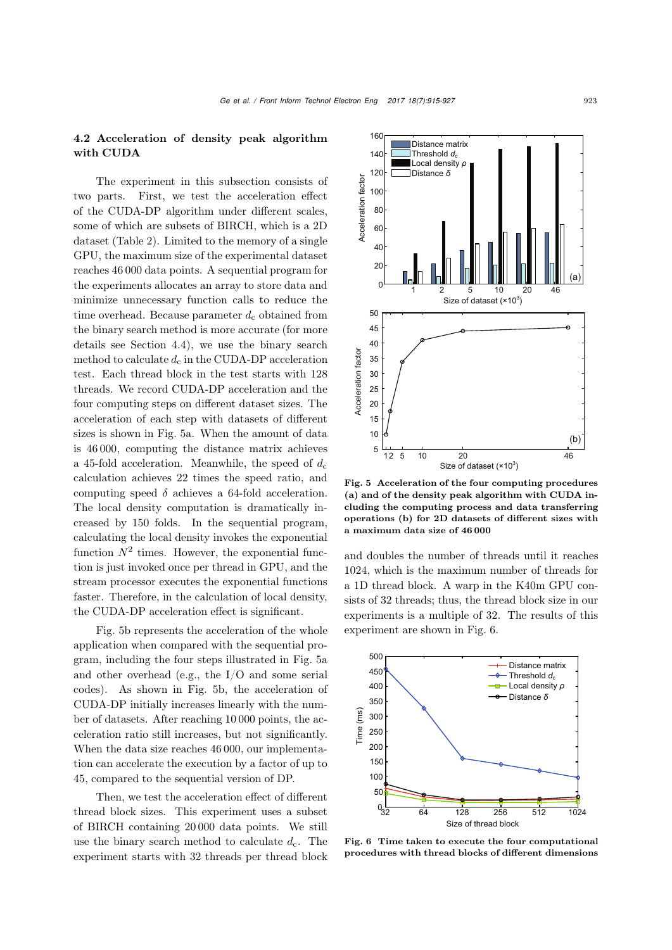## 4.2 Acceleration of density peak algorithm with CUDA

The experiment in this subsection consists of two parts. First, we test the acceleration effect of the CUDA-DP algorithm under different scales, some of which are subsets of BIRCH, which is a 2D dataset (Table [2\)](#page-7-1). Limited to the memory of a single GPU, the maximum size of the experimental dataset reaches 46 000 data points. A sequential program for the experiments allocates an array to store data and minimize unnecessary function calls to reduce the time overhead. Because parameter  $d_c$  obtained from the binary search method is more accurate (for more details see Section 4.4), we use the binary search method to calculate  $d_c$  in the CUDA-DP acceleration test. Each thread block in the test starts with 128 threads. We record CUDA-DP acceleration and the four computing steps on different dataset sizes. The acceleration of each step with datasets of different sizes is shown in Fig. [5a](#page-8-0). When the amount of data is 46 000, computing the distance matrix achieves a 45-fold acceleration. Meanwhile, the speed of  $d_c$ calculation achieves 22 times the speed ratio, and computing speed  $\delta$  achieves a 64-fold acceleration. The local density computation is dramatically increased by 150 folds. In the sequential program, calculating the local density invokes the exponential function  $N^2$  times. However, the exponential function is just invoked once per thread in GPU, and the stream processor executes the exponential functions faster. Therefore, in the calculation of local density, the CUDA-DP acceleration effect is significant.

Fig. [5b](#page-8-0) represents the acceleration of the whole application when compared with the sequential program, including the four steps illustrated in Fig. [5a](#page-8-0) and other overhead (e.g., the I/O and some serial codes). As shown in Fig. [5b](#page-8-0), the acceleration of CUDA-DP initially increases linearly with the number of datasets. After reaching 10 000 points, the acceleration ratio still increases, but not significantly. When the data size reaches 46 000, our implementation can accelerate the execution by a factor of up to 45, compared to the sequential version of DP.

Then, we test the acceleration effect of different thread block sizes. This experiment uses a subset of BIRCH containing 20 000 data points. We still use the binary search method to calculate  $d_c$ . The experiment starts with 32 threads per thread block



<span id="page-8-0"></span>Fig. 5 Acceleration of the four computing procedures (a) and of the density peak algorithm with CUDA including the computing process and data transferring operations (b) for 2D datasets of different sizes with a maximum data size of 46 000

and doubles the number of threads until it reaches 1024, which is the maximum number of threads for a 1D thread block. A warp in the K40m GPU consists of 32 threads; thus, the thread block size in our experiments is a multiple of 32. The results of this experiment are shown in Fig. [6.](#page-8-1)



<span id="page-8-1"></span>Fig. 6 Time taken to execute the four computational procedures with thread blocks of different dimensions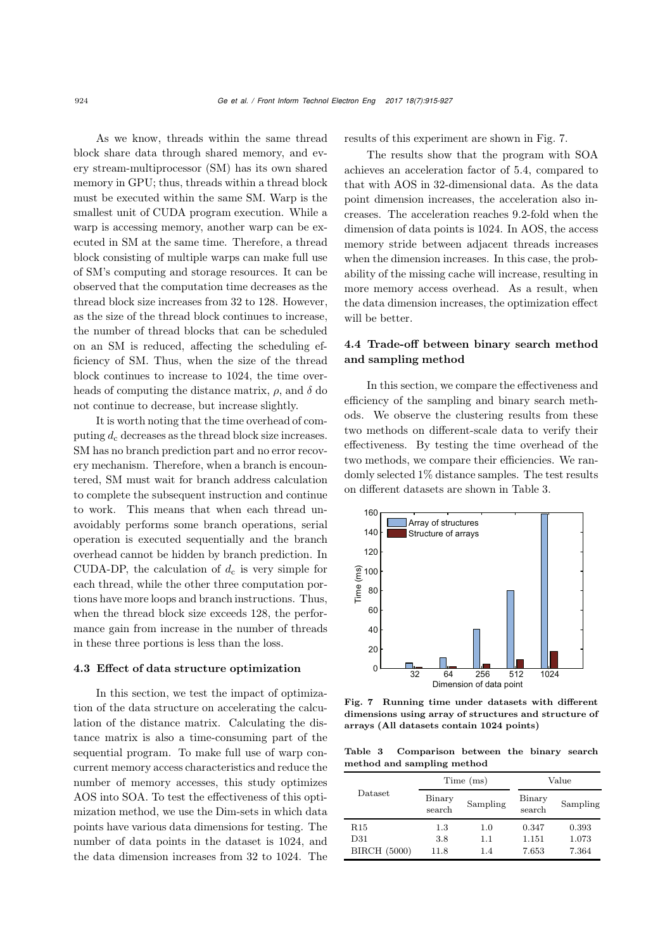As we know, threads within the same thread block share data through shared memory, and every stream-multiprocessor (SM) has its own shared memory in GPU; thus, threads within a thread block must be executed within the same SM. Warp is the smallest unit of CUDA program execution. While a warp is accessing memory, another warp can be executed in SM at the same time. Therefore, a thread block consisting of multiple warps can make full use of SM's computing and storage resources. It can be observed that the computation time decreases as the thread block size increases from 32 to 128. However, as the size of the thread block continues to increase, the number of thread blocks that can be scheduled on an SM is reduced, affecting the scheduling efficiency of SM. Thus, when the size of the thread block continues to increase to 1024, the time overheads of computing the distance matrix,  $\rho$ , and  $\delta$  do not continue to decrease, but increase slightly.

It is worth noting that the time overhead of computing  $d_c$  decreases as the thread block size increases. SM has no branch prediction part and no error recovery mechanism. Therefore, when a branch is encountered, SM must wait for branch address calculation to complete the subsequent instruction and continue to work. This means that when each thread unavoidably performs some branch operations, serial operation is executed sequentially and the branch overhead cannot be hidden by branch prediction. In CUDA-DP, the calculation of  $d_c$  is very simple for each thread, while the other three computation portions have more loops and branch instructions. Thus, when the thread block size exceeds 128, the performance gain from increase in the number of threads in these three portions is less than the loss.

#### 4.3 Effect of data structure optimization

In this section, we test the impact of optimization of the data structure on accelerating the calculation of the distance matrix. Calculating the distance matrix is also a time-consuming part of the sequential program. To make full use of warp concurrent memory access characteristics and reduce the number of memory accesses, this study optimizes AOS into SOA. To test the effectiveness of this optimization method, we use the Dim-sets in which data points have various data dimensions for testing. The number of data points in the dataset is 1024, and the data dimension increases from 32 to 1024. The results of this experiment are shown in Fig. [7.](#page-9-0)

The results show that the program with SOA achieves an acceleration factor of 5.4, compared to that with AOS in 32-dimensional data. As the data point dimension increases, the acceleration also increases. The acceleration reaches 9.2-fold when the dimension of data points is 1024. In AOS, the access memory stride between adjacent threads increases when the dimension increases. In this case, the probability of the missing cache will increase, resulting in more memory access overhead. As a result, when the data dimension increases, the optimization effect will be better.

# 4.4 Trade-off between binary search method and sampling method

In this section, we compare the effectiveness and efficiency of the sampling and binary search methods. We observe the clustering results from these two methods on different-scale data to verify their effectiveness. By testing the time overhead of the two methods, we compare their efficiencies. We randomly selected 1% distance samples. The test results on different datasets are shown in Table [3.](#page-9-1)



<span id="page-9-0"></span>Fig. 7 Running time under datasets with different dimensions using array of structures and structure of arrays (All datasets contain 1024 points)

Table 3 Comparison between the binary search method and sampling method

<span id="page-9-1"></span>

|                     | Time (ms)        |          | Value            |          |
|---------------------|------------------|----------|------------------|----------|
| <b>Dataset</b>      | Binary<br>search | Sampling | Binary<br>search | Sampling |
| R15                 | 1.3              | 1.0      | 0.347            | 0.393    |
| D31                 | 3.8              | 1.1      | 1.151            | 1.073    |
| <b>BIRCH</b> (5000) | 11.8             | 1.4      | 7.653            | 7.364    |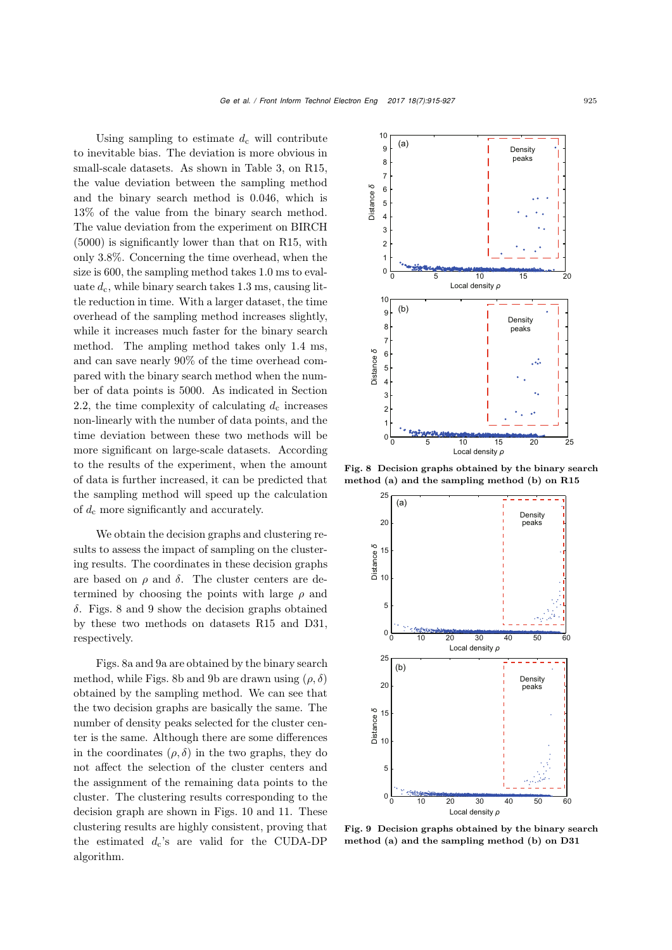Using sampling to estimate  $d_c$  will contribute to inevitable bias. The deviation is more obvious in small-scale datasets. As shown in Table [3,](#page-9-1) on R15, the value deviation between the sampling method and the binary search method is 0.046, which is 13% of the value from the binary search method. The value deviation from the experiment on BIRCH (5000) is significantly lower than that on R15, with only 3.8%. Concerning the time overhead, when the size is 600, the sampling method takes 1.0 ms to evaluate  $d_c$ , while binary search takes 1.3 ms, causing little reduction in time. With a larger dataset, the time overhead of the sampling method increases slightly, while it increases much faster for the binary search method. The ampling method takes only 1.4 ms, and can save nearly 90% of the time overhead compared with the binary search method when the number of data points is 5000. As indicated in Section 2.2, the time complexity of calculating  $d_c$  increases non-linearly with the number of data points, and the time deviation between these two methods will be more significant on large-scale datasets. According to the results of the experiment, when the amount of data is further increased, it can be predicted that the sampling method will speed up the calculation of  $d_c$  more significantly and accurately.

We obtain the decision graphs and clustering results to assess the impact of sampling on the clustering results. The coordinates in these decision graphs are based on  $\rho$  and  $\delta$ . The cluster centers are determined by choosing the points with large  $\rho$  and  $\delta$ . Figs. [8](#page-10-0) and [9](#page-10-1) show the decision graphs obtained by these two methods on datasets R15 and D31, respectively.

Figs. [8a](#page-10-0) and [9a](#page-10-1) are obtained by the binary search method, while Figs. [8b](#page-10-0) and [9b](#page-10-1) are drawn using  $(\rho, \delta)$ obtained by the sampling method. We can see that the two decision graphs are basically the same. The number of density peaks selected for the cluster center is the same. Although there are some differences in the coordinates  $(\rho, \delta)$  in the two graphs, they do not affect the selection of the cluster centers and the assignment of the remaining data points to the cluster. The clustering results corresponding to the decision graph are shown in Figs. [10](#page-11-8) and [11.](#page-11-9) These clustering results are highly consistent, proving that the estimated  $d_c$ 's are valid for the CUDA-DP algorithm.



Fig. 8 Decision graphs obtained by the binary search method (a) and the sampling method (b) on R15

<span id="page-10-0"></span>

<span id="page-10-1"></span>Fig. 9 Decision graphs obtained by the binary search method (a) and the sampling method (b) on D31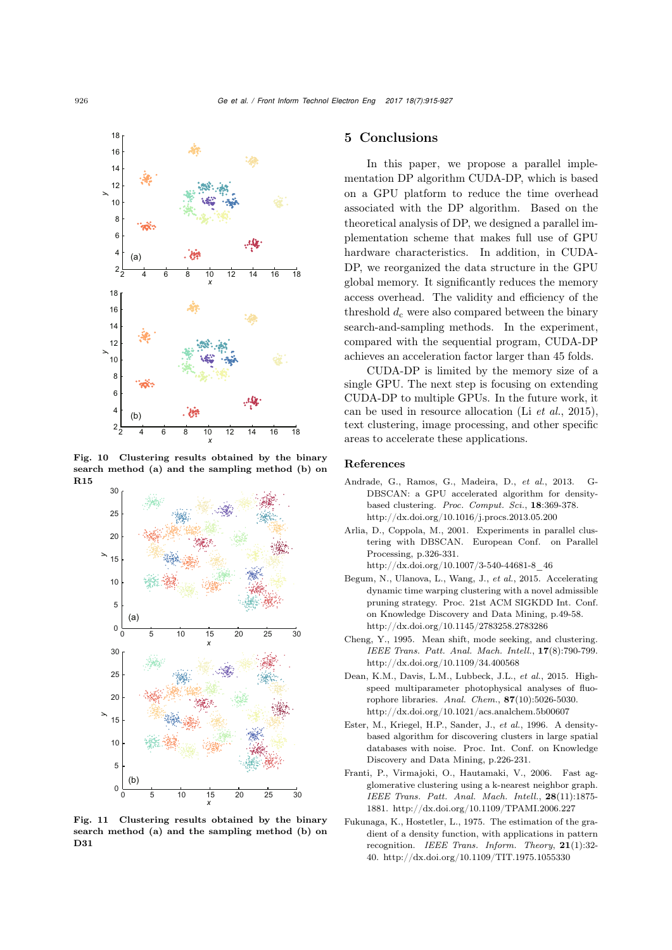

Fig. 10 Clustering results obtained by the binary search method (a) and the sampling method (b) on R15

<span id="page-11-8"></span>

<span id="page-11-9"></span>Fig. 11 Clustering results obtained by the binary search method (a) and the sampling method (b) on D31

# 5 Conclusions

In this paper, we propose a parallel implementation DP algorithm CUDA-DP, which is based on a GPU platform to reduce the time overhead associated with the DP algorithm. Based on the theoretical analysis of DP, we designed a parallel implementation scheme that makes full use of GPU hardware characteristics. In addition, in CUDA-DP, we reorganized the data structure in the GPU global memory. It significantly reduces the memory access overhead. The validity and efficiency of the threshold  $d_c$  were also compared between the binary search-and-sampling methods. In the experiment, compared with the sequential program, CUDA-DP achieves an acceleration factor larger than 45 folds.

CUDA-DP is limited by the memory size of a single GPU. The next step is focusing on extending CUDA-DP to multiple GPUs. In the future work, it can be used in resource allocation (Li *[et al.](#page-12-19)*, [2015\)](#page-12-19), text clustering, image processing, and other specific areas to accelerate these applications.

#### References

- <span id="page-11-6"></span>Andrade, G., Ramos, G., Madeira, D., *et al.*, 2013. G-DBSCAN: a GPU accelerated algorithm for densitybased clustering. *Proc. Comput. Sci.*, 18:369-378. http://dx.doi.org/10.1016/j.procs.2013.05.200
- <span id="page-11-5"></span>Arlia, D., Coppola, M., 2001. Experiments in parallel clustering with DBSCAN. European Conf. on Parallel Processing, p.326-331.
	- http://dx.doi.org/10.1007/3-540-44681-8\_46
- <span id="page-11-1"></span>Begum, N., Ulanova, L., Wang, J., *et al.*, 2015. Accelerating dynamic time warping clustering with a novel admissible pruning strategy. Proc. 21st ACM SIGKDD Int. Conf. on Knowledge Discovery and Data Mining, p.49-58. http://dx.doi.org/10.1145/2783258.2783286
- <span id="page-11-4"></span>Cheng, Y., 1995. Mean shift, mode seeking, and clustering. *IEEE Trans. Patt. Anal. Mach. Intell.*, 17(8):790-799. http://dx.doi.org/10.1109/34.400568
- <span id="page-11-2"></span>Dean, K.M., Davis, L.M., Lubbeck, J.L., *et al.*, 2015. Highspeed multiparameter photophysical analyses of fluorophore libraries. *Anal. Chem.*, 87(10):5026-5030. http://dx.doi.org/10.1021/acs.analchem.5b00607
- <span id="page-11-0"></span>Ester, M., Kriegel, H.P., Sander, J., *et al.*, 1996. A densitybased algorithm for discovering clusters in large spatial databases with noise. Proc. Int. Conf. on Knowledge Discovery and Data Mining, p.226-231.
- <span id="page-11-7"></span>Franti, P., Virmajoki, O., Hautamaki, V., 2006. Fast agglomerative clustering using a k-nearest neighbor graph. *IEEE Trans. Patt. Anal. Mach. Intell.*, 28(11):1875- 1881. http://dx.doi.org/10.1109/TPAMI.2006.227
- <span id="page-11-3"></span>Fukunaga, K., Hostetler, L., 1975. The estimation of the gradient of a density function, with applications in pattern recognition. *IEEE Trans. Inform. Theory*, 21(1):32- 40. http://dx.doi.org/10.1109/TIT.1975.1055330